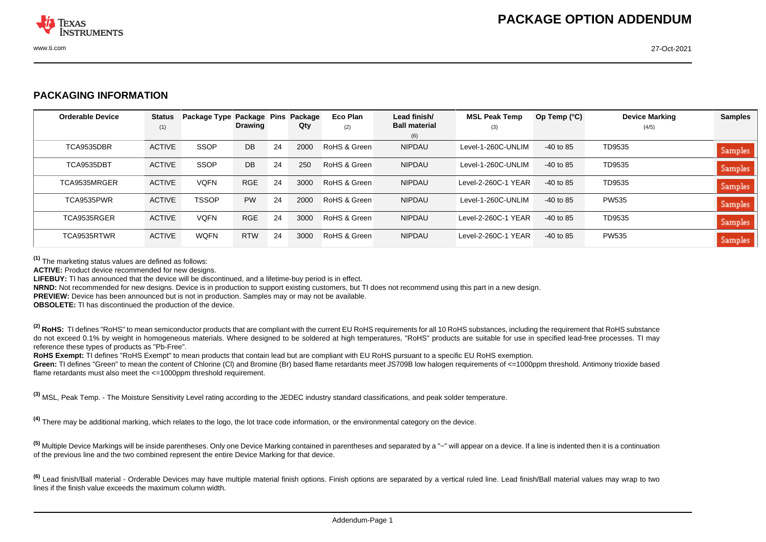

## **PACKAGING INFORMATION**

| <b>Orderable Device</b> | <b>Status</b> | Package Type Package Pins | <b>Drawing</b> |    | Package | Eco Plan     | Lead finish/<br><b>Ball material</b> | <b>MSL Peak Temp</b> | Op Temp $(^{\circ}C)$ | <b>Device Marking</b> | <b>Samples</b> |
|-------------------------|---------------|---------------------------|----------------|----|---------|--------------|--------------------------------------|----------------------|-----------------------|-----------------------|----------------|
|                         | (1)           |                           |                |    | Qty     | (2)          | (6)                                  | (3)                  |                       | (4/5)                 |                |
| TCA9535DBR              | <b>ACTIVE</b> | <b>SSOP</b>               | DB             | 24 | 2000    | RoHS & Green | <b>NIPDAU</b>                        | Level-1-260C-UNLIM   | $-40$ to 85           | TD9535                | Samples        |
| TCA9535DBT              | <b>ACTIVE</b> | <b>SSOP</b>               | DB             | 24 | 250     | RoHS & Green | <b>NIPDAU</b>                        | Level-1-260C-UNLIM   | $-40$ to 85           | TD9535                | Samples        |
| TCA9535MRGER            | <b>ACTIVE</b> | <b>VOFN</b>               | <b>RGE</b>     | 24 | 3000    | RoHS & Green | <b>NIPDAU</b>                        | Level-2-260C-1 YEAR  | $-40$ to 85           | TD9535                | Samples        |
| TCA9535PWR              | <b>ACTIVE</b> | <b>TSSOP</b>              | <b>PW</b>      | 24 | 2000    | RoHS & Green | <b>NIPDAU</b>                        | Level-1-260C-UNLIM   | $-40$ to 85           | <b>PW535</b>          | Samples        |
| TCA9535RGER             | <b>ACTIVE</b> | <b>VOFN</b>               | <b>RGE</b>     | 24 | 3000    | RoHS & Green | <b>NIPDAU</b>                        | Level-2-260C-1 YEAR  | $-40$ to 85           | TD9535                | Samples        |
| TCA9535RTWR             | <b>ACTIVE</b> | <b>WQFN</b>               | <b>RTW</b>     | 24 | 3000    | RoHS & Green | <b>NIPDAU</b>                        | Level-2-260C-1 YEAR  | $-40$ to 85           | <b>PW535</b>          | <b>Samples</b> |

**(1)** The marketing status values are defined as follows:

**ACTIVE:** Product device recommended for new designs.

**LIFEBUY:** TI has announced that the device will be discontinued, and a lifetime-buy period is in effect.

**NRND:** Not recommended for new designs. Device is in production to support existing customers, but TI does not recommend using this part in a new design.

**PREVIEW:** Device has been announced but is not in production. Samples may or may not be available.

**OBSOLETE:** TI has discontinued the production of the device.

<sup>(2)</sup> RoHS: TI defines "RoHS" to mean semiconductor products that are compliant with the current EU RoHS requirements for all 10 RoHS substances, including the requirement that RoHS substance do not exceed 0.1% by weight in homogeneous materials. Where designed to be soldered at high temperatures, "RoHS" products are suitable for use in specified lead-free processes. TI may reference these types of products as "Pb-Free".

RoHS Exempt: TI defines "RoHS Exempt" to mean products that contain lead but are compliant with EU RoHS pursuant to a specific EU RoHS exemption.

Green: TI defines "Green" to mean the content of Chlorine (CI) and Bromine (Br) based flame retardants meet JS709B low halogen requirements of <=1000ppm threshold. Antimony trioxide based flame retardants must also meet the <=1000ppm threshold requirement.

**(3)** MSL, Peak Temp. - The Moisture Sensitivity Level rating according to the JEDEC industry standard classifications, and peak solder temperature.

**(4)** There may be additional marking, which relates to the logo, the lot trace code information, or the environmental category on the device.

<sup>(5)</sup> Multiple Device Markings will be inside parentheses. Only one Device Marking contained in parentheses and separated by a "~" will appear on a device. If a line is indented then it is a continuation of the previous line and the two combined represent the entire Device Marking for that device.

<sup>(6)</sup> Lead finish/Ball material - Orderable Devices may have multiple material finish options. Finish options are separated by a vertical ruled line. Lead finish/Ball material values may wrap to two lines if the finish value exceeds the maximum column width.